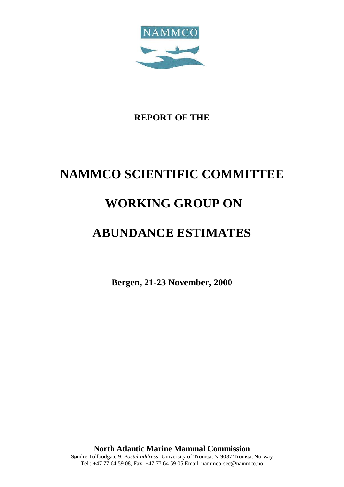

# **REPORT OF THE**

# **NAMMCO SCIENTIFIC COMMITTEE**

# **WORKING GROUP ON**

# **ABUNDANCE ESTIMATES**

**Bergen, 21-23 November, 2000**

**North Atlantic Marine Mammal Commission** Søndre Tollbodgate 9, *Postal address:* University of Tromsø, N-9037 Tromsø, Norway Tel.: +47 77 64 59 08, Fax: +47 77 64 59 05 Email: nammco-sec@nammco.no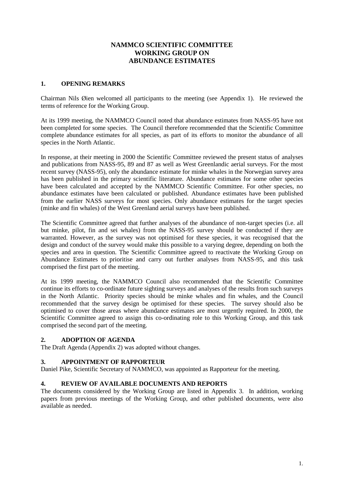# **NAMMCO SCIENTIFIC COMMITTEE WORKING GROUP ON ABUNDANCE ESTIMATES**

#### **1. OPENING REMARKS**

Chairman Nils Øien welcomed all participants to the meeting (see Appendix 1). He reviewed the terms of reference for the Working Group.

At its 1999 meeting, the NAMMCO Council noted that abundance estimates from NASS-95 have not been completed for some species. The Council therefore recommended that the Scientific Committee complete abundance estimates for all species, as part of its efforts to monitor the abundance of all species in the North Atlantic.

In response, at their meeting in 2000 the Scientific Committee reviewed the present status of analyses and publications from NASS-95, 89 and 87 as well as West Greenlandic aerial surveys. For the most recent survey (NASS-95), only the abundance estimate for minke whales in the Norwegian survey area has been published in the primary scientific literature. Abundance estimates for some other species have been calculated and accepted by the NAMMCO Scientific Committee. For other species, no abundance estimates have been calculated or published. Abundance estimates have been published from the earlier NASS surveys for most species. Only abundance estimates for the target species (minke and fin whales) of the West Greenland aerial surveys have been published.

The Scientific Committee agreed that further analyses of the abundance of non-target species (i.e. all but minke, pilot, fin and sei whales) from the NASS-95 survey should be conducted if they are warranted. However, as the survey was not optimised for these species, it was recognised that the design and conduct of the survey would make this possible to a varying degree, depending on both the species and area in question. The Scientific Committee agreed to reactivate the Working Group on Abundance Estimates to prioritise and carry out further analyses from NASS-95, and this task comprised the first part of the meeting.

At its 1999 meeting, the NAMMCO Council also recommended that the Scientific Committee continue its efforts to co-ordinate future sighting surveys and analyses of the results from such surveys in the North Atlantic. Priority species should be minke whales and fin whales, and the Council recommended that the survey design be optimised for these species. The survey should also be optimised to cover those areas where abundance estimates are most urgently required. In 2000, the Scientific Committee agreed to assign this co-ordinating role to this Working Group, and this task comprised the second part of the meeting.

#### **2. ADOPTION OF AGENDA**

The Draft Agenda (Appendix 2) was adopted without changes.

#### **3. APPOINTMENT OF RAPPORTEUR**

Daniel Pike, Scientific Secretary of NAMMCO, was appointed as Rapporteur for the meeting.

# **4. REVIEW OF AVAILABLE DOCUMENTS AND REPORTS**

The documents considered by the Working Group are listed in Appendix 3. In addition, working papers from previous meetings of the Working Group, and other published documents, were also available as needed.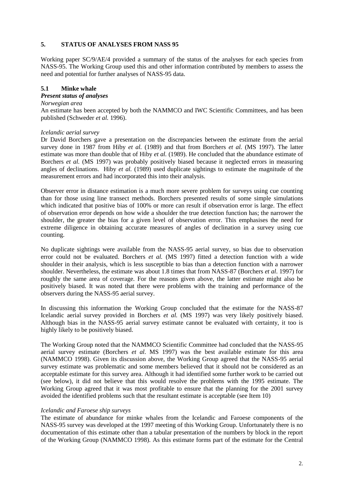#### **5. STATUS OF ANALYSES FROM NASS 95**

Working paper SC/9/AE/4 provided a summary of the status of the analyses for each species from NASS-95. The Working Group used this and other information contributed by members to assess the need and potential for further analyses of NASS-95 data.

#### **5.1 Minke whale**

#### *Present status of analyses*

#### *Norwegian area*

An estimate has been accepted by both the NAMMCO and IWC Scientific Committees, and has been published (Schweder *et al.* 1996).

#### *Icelandic aerial survey*

Dr David Borchers gave a presentation on the discrepancies between the estimate from the aerial survey done in 1987 from Hiby *et al.* (1989) and that from Borchers *et al.* (MS 1997). The latter estimate was more than double that of Hiby *et al.* (1989). He concluded that the abundance estimate of Borchers *et al.* (MS 1997) was probably positively biased because it neglected errors in measuring angles of declinations. Hiby *et al.* (1989) used duplicate sightings to estimate the magnitude of the measurement errors and had incorporated this into their analysis.

Observer error in distance estimation is a much more severe problem for surveys using cue counting than for those using line transect methods. Borchers presented results of some simple simulations which indicated that positive bias of 100% or more can result if observation error is large. The effect of observation error depends on how wide a shoulder the true detection function has; the narrower the shoulder, the greater the bias for a given level of observation error. This emphasises the need for extreme diligence in obtaining accurate measures of angles of declination in a survey using cue counting.

No duplicate sightings were available from the NASS-95 aerial survey, so bias due to observation error could not be evaluated. Borchers *et al.* (MS 1997) fitted a detection function with a wide shoulder in their analysis, which is less susceptible to bias than a detection function with a narrower shoulder. Nevertheless, the estimate was about 1.8 times that from NASS-87 (Borchers *et al*. 1997) for roughly the same area of coverage. For the reasons given above, the latter estimate might also be positively biased. It was noted that there were problems with the training and performance of the observers during the NASS-95 aerial survey.

In discussing this information the Working Group concluded that the estimate for the NASS-87 Icelandic aerial survey provided in Borchers *et al.* (MS 1997) was very likely positively biased. Although bias in the NASS-95 aerial survey estimate cannot be evaluated with certainty, it too is highly likely to be positively biased.

The Working Group noted that the NAMMCO Scientific Committee had concluded that the NASS-95 aerial survey estimate (Borchers *et al.* MS 1997) was the best available estimate for this area (NAMMCO 1998). Given its discussion above, the Working Group agreed that the NASS-95 aerial survey estimate was problematic and some members believed that it should not be considered as an acceptable estimate for this survey area. Although it had identified some further work to be carried out (see below), it did not believe that this would resolve the problems with the 1995 estimate. The Working Group agreed that it was most profitable to ensure that the planning for the 2001 survey avoided the identified problems such that the resultant estimate is acceptable (see Item 10)

#### *Icelandic and Faroese ship surveys*

The estimate of abundance for minke whales from the Icelandic and Faroese components of the NASS-95 survey was developed at the 1997 meeting of this Working Group. Unfortunately there is no documentation of this estimate other than a tabular presentation of the numbers by block in the report of the Working Group (NAMMCO 1998). As this estimate forms part of the estimate for the Central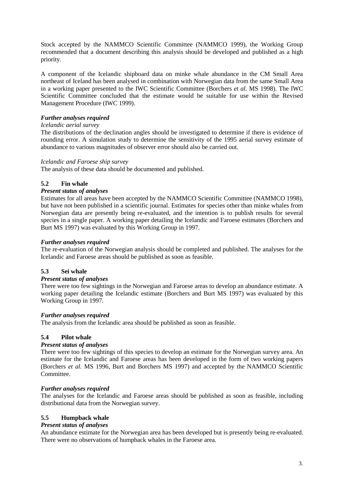Stock accepted by the NAMMCO Scientific Committee (NAMMCO 1999), the Working Group recommended that a document describing this analysis should be developed and published as a high priority.

A component of the Icelandic shipboard data on minke whale abundance in the CM Small Area northeast of Iceland has been analysed in combination with Norwegian data from the same Small Area in a working paper presented to the IWC Scientific Committee (Borchers *et al.* MS 1998). The IWC Scientific Committee concluded that the estimate would be suitable for use within the Revised Management Procedure (IWC 1999).

# *Further analyses required*

#### *Icelandic aerial survey*

The distributions of the declination angles should be investigated to determine if there is evidence of rounding error. A simulation study to determine the sensitivity of the 1995 aerial survey estimate of abundance to various magnitudes of observer error should also be carried out.

#### *Icelandic and Faroese ship survey*

The analysis of these data should be documented and published.

# **5.2 Fin whale**

#### *Present status of analyses*

Estimates for all areas have been accepted by the NAMMCO Scientific Committee (NAMMCO 1998), but have not been published in a scientific journal. Estimates for species other than minke whales from Norwegian data are presently being re-evaluated, and the intention is to publish results for several species in a single paper. A working paper detailing the Icelandic and Faroese estimates (Borchers and Burt MS 1997) was evaluated by this Working Group in 1997.

#### *Further analyses required*

The re-evaluation of the Norwegian analysis should be completed and published. The analyses for the Icelandic and Faroese areas should be published as soon as feasible.

# **5.3 Sei whale**

#### *Present status of analyses*

There were too few sightings in the Norwegian and Faroese areas to develop an abundance estimate. A working paper detailing the Icelandic estimate (Borchers and Burt MS 1997) was evaluated by this Working Group in 1997.

#### *Further analyses required*

The analysis from the Icelandic area should be published as soon as feasible.

# **5.4 Pilot whale**

#### *Present status of analyses*

There were too few sightings of this species to develop an estimate for the Norwegian survey area. An estimate for the Icelandic and Faroese areas has been developed in the form of two working papers (Borchers *et al*. MS 1996, Burt and Borchers MS 1997) and accepted by the NAMMCO Scientific **Committee** 

#### *Further analyses required*

The analyses for the Icelandic and Faroese areas should be published as soon as feasible, including distributional data from the Norwegian survey.

# **5.5 Humpback whale**

#### *Present status of analyses*

An abundance estimate for the Norwegian area has been developed but is presently being re-evaluated. There were no observations of humpback whales in the Faroese area.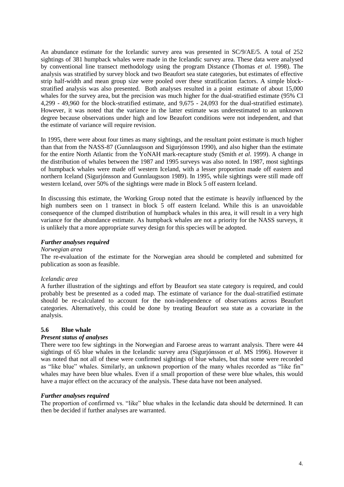An abundance estimate for the Icelandic survey area was presented in SC/9/AE/5. A total of 252 sightings of 381 humpback whales were made in the Icelandic survey area. These data were analysed by conventional line transect methodology using the program Distance (Thomas *et al.* 1998). The analysis was stratified by survey block and two Beaufort sea state categories, but estimates of effective strip half-width and mean group size were pooled over these stratification factors. A simple blockstratified analysis was also presented. Both analyses resulted in a point estimate of about 15,000 whales for the survey area, but the precision was much higher for the dual-stratified estimate (95% CI 4,299 - 49,960 for the block-stratified estimate, and 9,675 - 24,093 for the dual-stratified estimate). However, it was noted that the variance in the latter estimate was underestimated to an unknown degree because observations under high and low Beaufort conditions were not independent, and that the estimate of variance will require revision.

In 1995, there were about four times as many sightings, and the resultant point estimate is much higher than that from the NASS-87 (Gunnlaugsson and Sigurjónsson 1990), and also higher than the estimate for the entire North Atlantic from the YoNAH mark-recapture study (Smith *et al*. 1999). A change in the distribution of whales between the 1987 and 1995 surveys was also noted. In 1987, most sightings of humpback whales were made off western Iceland, with a lesser proportion made off eastern and northern Iceland (Sigurjónsson and Gunnlaugsson 1989). In 1995, while sightings were still made off western Iceland, over 50% of the sightings were made in Block 5 off eastern Iceland.

In discussing this estimate, the Working Group noted that the estimate is heavily influenced by the high numbers seen on 1 transect in block 5 off eastern Iceland. While this is an unavoidable consequence of the clumped distribution of humpback whales in this area, it will result in a very high variance for the abundance estimate. As humpback whales are not a priority for the NASS surveys, it is unlikely that a more appropriate survey design for this species will be adopted.

#### *Further analyses required*

#### *Norwegian area*

The re-evaluation of the estimate for the Norwegian area should be completed and submitted for publication as soon as feasible.

#### *Icelandic area*

A further illustration of the sightings and effort by Beaufort sea state category is required, and could probably best be presented as a coded map. The estimate of variance for the dual-stratified estimate should be re-calculated to account for the non-independence of observations across Beaufort categories. Alternatively, this could be done by treating Beaufort sea state as a covariate in the analysis.

#### **5.6 Blue whale**

#### *Present status of analyses*

There were too few sightings in the Norwegian and Faroese areas to warrant analysis. There were 44 sightings of 65 blue whales in the Icelandic survey area (Sigurjónsson *et al.* MS 1996). However it was noted that not all of these were confirmed sightings of blue whales, but that some were recorded as "like blue" whales. Similarly, an unknown proportion of the many whales recorded as "like fin" whales may have been blue whales. Even if a small proportion of these were blue whales, this would have a major effect on the accuracy of the analysis. These data have not been analysed.

#### *Further analyses required*

The proportion of confirmed vs. "like" blue whales in the Icelandic data should be determined. It can then be decided if further analyses are warranted.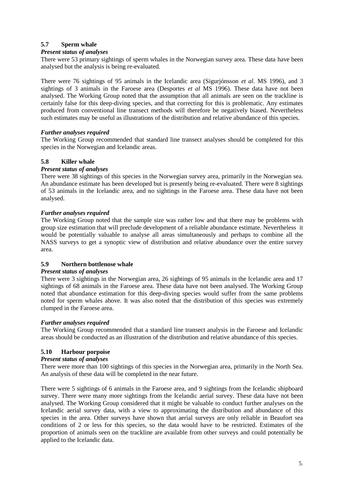# **5.7 Sperm whale**

#### *Present status of analyses*

There were 53 primary sightings of sperm whales in the Norwegian survey area. These data have been analysed but the analysis is being re-evaluated.

There were 76 sightings of 95 animals in the Icelandic area (Sigurjónsson *et al.* MS 1996), and 3 sightings of 3 animals in the Faroese area (Desportes *et al* MS 1996). These data have not been analysed. The Working Group noted that the assumption that all animals are seen on the trackline is certainly false for this deep-diving species, and that correcting for this is problematic. Any estimates produced from conventional line transect methods will therefore be negatively biased. Nevertheless such estimates may be useful as illustrations of the distribution and relative abundance of this species.

#### *Further analyses required*

The Working Group recommended that standard line transect analyses should be completed for this species in the Norwegian and Icelandic areas.

#### **5.8 Killer whale**

#### *Present status of analyses*

There were 38 sightings of this species in the Norwegian survey area, primarily in the Norwegian sea. An abundance estimate has been developed but is presently being re-evaluated. There were 8 sightings of 53 animals in the Icelandic area, and no sightings in the Faroese area. These data have not been analysed.

#### *Further analyses required*

The Working Group noted that the sample size was rather low and that there may be problems with group size estimation that will preclude development of a reliable abundance estimate. Nevertheless it would be potentially valuable to analyse all areas simultaneously and perhaps to combine all the NASS surveys to get a synoptic view of distribution and relative abundance over the entire survey area.

#### **5.9 Northern bottlenose whale**

#### *Present status of analyses*

There were 3 sightings in the Norwegian area, 26 sightings of 95 animals in the Icelandic area and 17 sightings of 68 animals in the Faroese area. These data have not been analysed. The Working Group noted that abundance estimation for this deep-diving species would suffer from the same problems noted for sperm whales above. It was also noted that the distribution of this species was extremely clumped in the Faroese area.

#### *Further analyses required*

The Working Group recommended that a standard line transect analysis in the Faroese and Icelandic areas should be conducted as an illustration of the distribution and relative abundance of this species.

#### **5.10 Harbour porpoise**

#### *Present status of analyses*

There were more than 100 sightings of this species in the Norwegian area, primarily in the North Sea. An analysis of these data will be completed in the near future.

There were 5 sightings of 6 animals in the Faroese area, and 9 sightings from the Icelandic shipboard survey. There were many more sightings from the Icelandic aerial survey. These data have not been analysed. The Working Group considered that it might be valuable to conduct further analyses on the Icelandic aerial survey data, with a view to approximating the distribution and abundance of this species in the area. Other surveys have shown that aerial surveys are only reliable in Beaufort sea conditions of 2 or less for this species, so the data would have to be restricted. Estimates of the proportion of animals seen on the trackline are available from other surveys and could potentially be applied to the Icelandic data.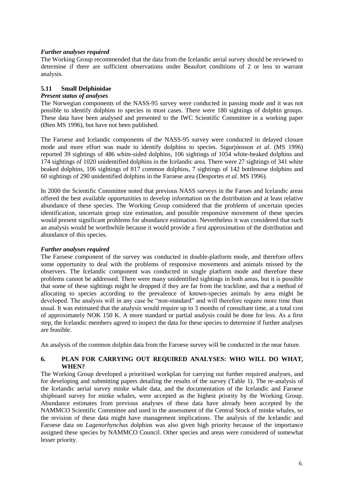#### *Further analyses required*

The Working Group recommended that the data from the Icelandic aerial survey should be reviewed to determine if there are sufficient observations under Beaufort conditions of 2 or less to warrant analysis.

### **5.11 Small Delphinidae**

#### *Present status of analyses*

The Norwegian components of the NASS-95 survey were conducted in passing mode and it was not possible to identify dolphins to species in most cases. There were 180 sightings of dolphin groups. These data have been analysed and presented to the IWC Scientific Committee in a working paper (Øien MS 1996), but have not been published.

The Faroese and Icelandic components of the NASS-95 survey were conducted in delayed closure mode and more effort was made to identify dolphins to species. Sigurjónsson *et al*. (MS 1996) reported 39 sightings of 486 white-sided dolphins, 106 sightings of 1054 white-beaked dolphins and 174 sightings of 1020 unidentified dolphins in the Icelandic area. There were 27 sightings of 341 white beaked dolphins, 106 sightings of 817 common dolphins, 7 sightings of 142 bottlenose dolphins and 60 sightings of 290 unidentified dolphins in the Faroese area (Desportes *et al.* MS 1996).

In 2000 the Scientific Committee noted that previous NASS surveys in the Faroes and Icelandic areas offered the best available opportunities to develop information on the distribution and at least relative abundance of these species. The Working Group considered that the problems of uncertain species identification, uncertain group size estimation, and possible responsive movement of these species would present significant problems for abundance estimation. Nevertheless it was considered that such an analysis would be worthwhile because it would provide a first approximation of the distribution and abundance of this species.

#### *Further analyses required*

The Faroese component of the survey was conducted in double-platform mode, and therefore offers some opportunity to deal with the problems of responsive movements and animals missed by the observers. The Icelandic component was conducted in single platform mode and therefore these problems cannot be addressed. There were many unidentified sightings in both areas, but it is possible that some of these sightings might be dropped if they are far from the trackline, and that a method of allocating to species according to the prevalence of known-species animals by area might be developed. The analysis will in any case be "non-standard" and will therefore require more time than usual. It was estimated that the analysis would require up to 3 months of consultant time, at a total cost of approximately NOK 150 K. A more standard or partial analysis could be done for less. As a first step, the Icelandic members agreed to inspect the data for these species to determine if further analyses are feasible.

An analysis of the common dolphin data from the Faroese survey will be conducted in the near future.

#### **6. PLAN FOR CARRYING OUT REQUIRED ANALYSES: WHO WILL DO WHAT, WHEN?**

The Working Group developed a prioritised workplan for carrying out further required analyses, and for developing and submitting papers detailing the results of the survey (Table 1). The re-analysis of the Icelandic aerial survey minke whale data, and the documentation of the Icelandic and Faroese shipboard survey for minke whales, were accepted as the highest priority by the Working Group. Abundance estimates from previous analyses of these data have already been accepted by the NAMMCO Scientific Committee and used in the assessment of the Central Stock of minke whales, so the revision of these data might have management implications. The analysis of the Icelandic and Faroese data on *Lagenorhynchus* dolphins was also given high priority because of the importance assigned these species by NAMMCO Council. Other species and areas were considered of somewhat lesser priority.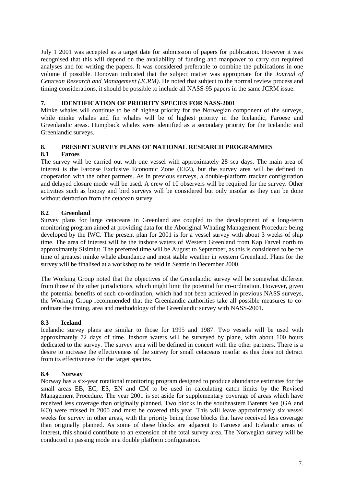July 1 2001 was accepted as a target date for submission of papers for publication. However it was recognised that this will depend on the availability of funding and manpower to carry out required analyses and for writing the papers. It was considered preferable to combine the publications in one volume if possible. Donovan indicated that the subject matter was appropriate for the *Journal of Cetacean Research and Management (JCRM)*. He noted that subject to the normal review process and timing considerations, it should be possible to include all NASS-95 papers in the same JCRM issue.

### **7. IDENTIFICATION OF PRIORITY SPECIES FOR NASS-2001**

Minke whales will continue to be of highest priority for the Norwegian component of the surveys, while minke whales and fin whales will be of highest priority in the Icelandic, Faroese and Greenlandic areas. Humpback whales were identified as a secondary priority for the Icelandic and Greenlandic surveys.

#### **8. PRESENT SURVEY PLANS OF NATIONAL RESEARCH PROGRAMMES**

#### **8.1 Faroes**

The survey will be carried out with one vessel with approximately 28 sea days. The main area of interest is the Faroese Exclusive Economic Zone (EEZ), but the survey area will be defined in cooperation with the other partners. As in previous surveys, a double-platform tracker configuration and delayed closure mode will be used. A crew of 10 observers will be required for the survey. Other activities such as biopsy and bird surveys will be considered but only insofar as they can be done without detraction from the cetacean survey.

# **8.2 Greenland**

Survey plans for large cetaceans in Greenland are coupled to the development of a long-term monitoring program aimed at providing data for the Aboriginal Whaling Management Procedure being developed by the IWC. The present plan for 2001 is for a vessel survey with about 3 weeks of ship time. The area of interest will be the inshore waters of Western Greenland from Kap Farvel north to approximately Sisimiut. The preferred time will be August to September, as this is considered to be the time of greatest minke whale abundance and most stable weather in western Greenland. Plans for the survey will be finalised at a workshop to be held in Seattle in December 2000.

The Working Group noted that the objectives of the Greenlandic survey will be somewhat different from those of the other jurisdictions, which might limit the potential for co-ordination. However, given the potential benefits of such co-ordination, which had not been achieved in previous NASS surveys, the Working Group recommended that the Greenlandic authorities take all possible measures to coordinate the timing, area and methodology of the Greenlandic survey with NASS-2001.

# **8.3 Iceland**

Icelandic survey plans are similar to those for 1995 and 1987. Two vessels will be used with approximately 72 days of time. Inshore waters will be surveyed by plane, with about 100 hours dedicated to the survey. The survey area will be defined in concert with the other partners. There is a desire to increase the effectiveness of the survey for small cetaceans insofar as this does not detract from its effectiveness for the target species.

#### **8.4 Norway**

Norway has a six-year rotational monitoring program designed to produce abundance estimates for the small areas EB, EC, ES, EN and CM to be used in calculating catch limits by the Revised Management Procedure. The year 2001 is set aside for supplementary coverage of areas which have received less coverage than originally planned. Two blocks in the southeastern Barents Sea (GA and KO) were missed in 2000 and must be covered this year. This will leave approximately six vessel weeks for survey in other areas, with the priority being those blocks that have received less coverage than originally planned. As some of these blocks are adjacent to Faroese and Icelandic areas of interest, this should contribute to an extension of the total survey area. The Norwegian survey will be conducted in passing mode in a double platform configuration.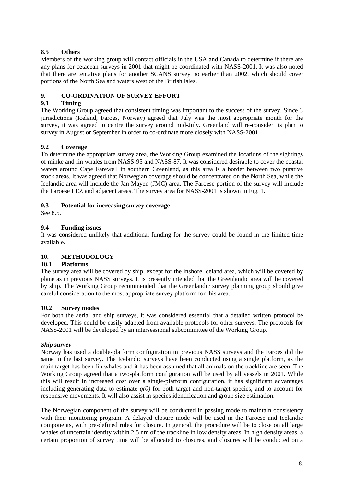# **8.5 Others**

Members of the working group will contact officials in the USA and Canada to determine if there are any plans for cetacean surveys in 2001 that might be coordinated with NASS-2001. It was also noted that there are tentative plans for another SCANS survey no earlier than 2002, which should cover portions of the North Sea and waters west of the British Isles.

# **9. CO-ORDINATION OF SURVEY EFFORT**

# **9.1 Timing**

The Working Group agreed that consistent timing was important to the success of the survey. Since 3 jurisdictions (Iceland, Faroes, Norway) agreed that July was the most appropriate month for the survey, it was agreed to centre the survey around mid-July. Greenland will re-consider its plan to survey in August or September in order to co-ordinate more closely with NASS-2001.

# **9.2 Coverage**

To determine the appropriate survey area, the Working Group examined the locations of the sightings of minke and fin whales from NASS-95 and NASS-87. It was considered desirable to cover the coastal waters around Cape Farewell in southern Greenland, as this area is a border between two putative stock areas. It was agreed that Norwegian coverage should be concentrated on the North Sea, while the Icelandic area will include the Jan Mayen (JMC) area. The Faroese portion of the survey will include the Faroese EEZ and adjacent areas. The survey area for NASS-2001 is shown in Fig. 1.

# **9.3 Potential for increasing survey coverage**

See 8.5.

# **9.4 Funding issues**

It was considered unlikely that additional funding for the survey could be found in the limited time available.

# **10. METHODOLOGY**

# **10.1 Platforms**

The survey area will be covered by ship, except for the inshore Iceland area, which will be covered by plane as in previous NASS surveys. It is presently intended that the Greenlandic area will be covered by ship. The Working Group recommended that the Greenlandic survey planning group should give careful consideration to the most appropriate survey platform for this area.

# **10.2 Survey modes**

For both the aerial and ship surveys, it was considered essential that a detailed written protocol be developed. This could be easily adapted from available protocols for other surveys. The protocols for NASS-2001 will be developed by an intersessional subcommittee of the Working Group.

# *Ship survey*

Norway has used a double-platform configuration in previous NASS surveys and the Faroes did the same in the last survey. The Icelandic surveys have been conducted using a single platform, as the main target has been fin whales and it has been assumed that all animals on the trackline are seen. The Working Group agreed that a two-platform configuration will be used by all vessels in 2001. While this will result in increased cost over a single-platform configuration, it has significant advantages including generating data to estimate  $g(0)$  for both target and non-target species, and to account for responsive movements. It will also assist in species identification and group size estimation.

The Norwegian component of the survey will be conducted in passing mode to maintain consistency with their monitoring program. A delayed closure mode will be used in the Faroese and Icelandic components, with pre-defined rules for closure. In general, the procedure will be to close on all large whales of uncertain identity within 2.5 nm of the trackline in low density areas. In high density areas, a certain proportion of survey time will be allocated to closures, and closures will be conducted on a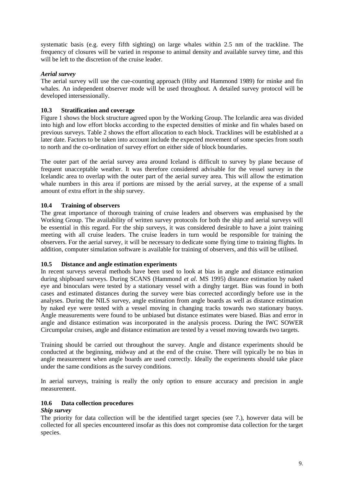systematic basis (e.g. every fifth sighting) on large whales within 2.5 nm of the trackline. The frequency of closures will be varied in response to animal density and available survey time, and this will be left to the discretion of the cruise leader.

### *Aerial survey*

The aerial survey will use the cue-counting approach (Hiby and Hammond 1989) for minke and fin whales. An independent observer mode will be used throughout. A detailed survey protocol will be developed intersessionally.

#### **10.3 Stratification and coverage**

Figure 1 shows the block structure agreed upon by the Working Group. The Icelandic area was divided into high and low effort blocks according to the expected densities of minke and fin whales based on previous surveys. Table 2 shows the effort allocation to each block. Tracklines will be established at a later date. Factors to be taken into account include the expected movement of some species from south to north and the co-ordination of survey effort on either side of block boundaries.

The outer part of the aerial survey area around Iceland is difficult to survey by plane because of frequent unacceptable weather. It was therefore considered advisable for the vessel survey in the Icelandic area to overlap with the outer part of the aerial survey area. This will allow the estimation whale numbers in this area if portions are missed by the aerial survey, at the expense of a small amount of extra effort in the ship survey.

#### **10.4 Training of observers**

The great importance of thorough training of cruise leaders and observers was emphasised by the Working Group. The availability of written survey protocols for both the ship and aerial surveys will be essential in this regard. For the ship surveys, it was considered desirable to have a joint training meeting with all cruise leaders. The cruise leaders in turn would be responsible for training the observers. For the aerial survey, it will be necessary to dedicate some flying time to training flights. In addition, computer simulation software is available for training of observers, and this will be utilised.

#### **10.5 Distance and angle estimation experiments**

In recent surveys several methods have been used to look at bias in angle and distance estimation during shipboard surveys. During SCANS (Hammond *et al*. MS 1995) distance estimation by naked eye and binoculars were tested by a stationary vessel with a dinghy target. Bias was found in both cases and estimated distances during the survey were bias corrected accordingly before use in the analyses. During the NILS survey, angle estimation from angle boards as well as distance estimation by naked eye were tested with a vessel moving in changing tracks towards two stationary buoys. Angle measurements were found to be unbiased but distance estimates were biased. Bias and error in angle and distance estimation was incorporated in the analysis process. During the IWC SOWER Circumpolar cruises, angle and distance estimation are tested by a vessel moving towards two targets.

Training should be carried out throughout the survey. Angle and distance experiments should be conducted at the beginning, midway and at the end of the cruise. There will typically be no bias in angle measurement when angle boards are used correctly. Ideally the experiments should take place under the same conditions as the survey conditions.

In aerial surveys, training is really the only option to ensure accuracy and precision in angle measurement.

#### **10.6 Data collection procedures**

#### *Ship survey*

The priority for data collection will be the identified target species (see 7.), however data will be collected for all species encountered insofar as this does not compromise data collection for the target species.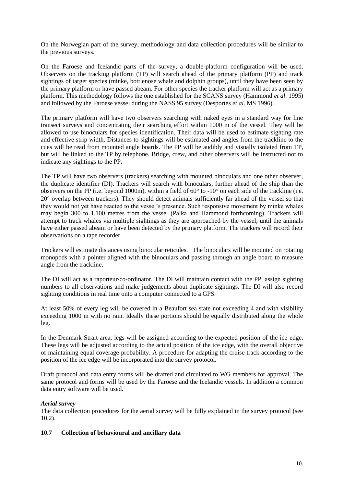On the Norwegian part of the survey, methodology and data collection procedures will be similar to the previous surveys.

On the Faroese and Icelandic parts of the survey, a double-platform configuration will be used. Observers on the tracking platform (TP) will search ahead of the primary platform (PP) and track sightings of target species (minke, bottlenose whale and dolphin groups), until they have been seen by the primary platform or have passed abeam. For other species the tracker platform will act as a primary platform. This methodology follows the one established for the SCANS survey (Hammond *et al*. 1995) and followed by the Faroese vessel during the NASS 95 survey (Desportes *et al*. MS 1996).

The primary platform will have two observers searching with naked eyes in a standard way for line transect surveys and concentrating their searching effort within 1000 m of the vessel. They will be allowed to use binoculars for species identification. Their data will be used to estimate sighting rate and effective strip width. Distances to sightings will be estimated and angles from the trackline to the cues will be read from mounted angle boards. The PP will be audibly and visually isolated from TP, but will be linked to the TP by telephone. Bridge, crew, and other observers will be instructed not to indicate any sightings to the PP.

The TP will have two observers (trackers) searching with mounted binoculars and one other observer, the duplicate identifier (DI). Trackers will search with binoculars, further ahead of the ship than the observers on the PP (i.e. beyond 1000m), within a field of 60° to -10° on each side of the trackline (i.e. 20 overlap between trackers). They should detect animals sufficiently far ahead of the vessel so that they would not yet have reacted to the vessel's presence. Such responsive movement by minke whales may begin 300 to 1,100 metres from the vessel (Palka and Hammond forthcoming). Trackers will attempt to track whales via multiple sightings as they are approached by the vessel, until the animals have either passed abeam or have been detected by the primary platform. The trackers will record their observations on a tape recorder.

Trackers will estimate distances using binocular reticules. The binoculars will be mounted on rotating monopods with a pointer aligned with the binoculars and passing through an angle board to measure angle from the trackline.

The DI will act as a raporteur/co-ordinator. The DI will maintain contact with the PP, assign sighting numbers to all observations and make judgements about duplicate sightings. The DI will also record sighting conditions in real time onto a computer connected to a GPS.

At least 50% of every leg will be covered in a Beaufort sea state not exceeding 4 and with visibility exceeding 1000 m with no rain. Ideally these portions should be equally distributed along the whole leg.

In the Denmark Strait area, legs will be assigned according to the expected position of the ice edge. These legs will be adjusted according to the actual position of the ice edge, with the overall objective of maintaining equal coverage probability. A procedure for adapting the cruise track according to the position of the ice edge will be incorporated into the survey protocol.

Draft protocol and data entry forms will be drafted and circulated to WG members for approval. The same protocol and forms will be used by the Faroese and the Icelandic vessels. In addition a common data entry software will be used.

# *Aerial survey*

The data collection procedures for the aerial survey will be fully explained in the survey protocol (see 10.2).

#### **10.7 Collection of behavioural and ancillary data**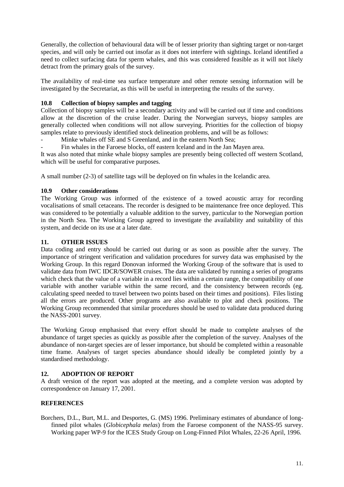Generally, the collection of behavioural data will be of lesser priority than sighting target or non-target species, and will only be carried out insofar as it does not interfere with sightings. Iceland identified a need to collect surfacing data for sperm whales, and this was considered feasible as it will not likely detract from the primary goals of the survey.

The availability of real-time sea surface temperature and other remote sensing information will be investigated by the Secretariat, as this will be useful in interpreting the results of the survey.

### **10.8 Collection of biopsy samples and tagging**

Collection of biopsy samples will be a secondary activity and will be carried out if time and conditions allow at the discretion of the cruise leader. During the Norwegian surveys, biopsy samples are generally collected when conditions will not allow surveying. Priorities for the collection of biopsy samples relate to previously identified stock delineation problems, and will be as follows:

Minke whales off SE and S Greenland, and in the eastern North Sea:

Fin whales in the Faroese blocks, off eastern Iceland and in the Jan Mayen area.

It was also noted that minke whale biopsy samples are presently being collected off western Scotland, which will be useful for comparative purposes.

A small number (2-3) of satellite tags will be deployed on fin whales in the Icelandic area.

#### **10.9 Other considerations**

The Working Group was informed of the existence of a towed acoustic array for recording vocalisations of small cetaceans. The recorder is designed to be maintenance free once deployed. This was considered to be potentially a valuable addition to the survey, particular to the Norwegian portion in the North Sea. The Working Group agreed to investigate the availability and suitability of this system, and decide on its use at a later date.

#### **11. OTHER ISSUES**

Data coding and entry should be carried out during or as soon as possible after the survey. The importance of stringent verification and validation procedures for survey data was emphasised by the Working Group. In this regard Donovan informed the Working Group of the software that is used to validate data from IWC IDCR/SOWER cruises. The data are validated by running a series of programs which check that the value of a variable in a record lies within a certain range, the compatibility of one variable with another variable within the same record, and the consistency between records (eg. calculating speed needed to travel between two points based on their times and positions). Files listing all the errors are produced. Other programs are also available to plot and check positions. The Working Group recommended that similar procedures should be used to validate data produced during the NASS-2001 survey.

The Working Group emphasised that every effort should be made to complete analyses of the abundance of target species as quickly as possible after the completion of the survey. Analyses of the abundance of non-target species are of lesser importance, but should be completed within a reasonable time frame. Analyses of target species abundance should ideally be completed jointly by a standardised methodology.

#### **12. ADOPTION OF REPORT**

A draft version of the report was adopted at the meeting, and a complete version was adopted by correspondence on January 17, 2001.

#### **REFERENCES**

Borchers, D.L., Burt, M.L. and Desportes, G. (MS) 1996. Preliminary estimates of abundance of longfinned pilot whales (*Globicephala melas*) from the Faroese component of the NASS-95 survey. Working paper WP-9 for the ICES Study Group on Long-Finned Pilot Whales, 22-26 April, 1996.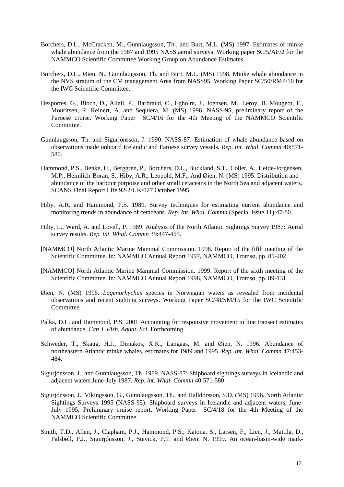- Borchers, D.L., McCracken, M., Gunnlaugsson, Th., and Burt, M.L. (MS) 1997. Estimates of minke whale abundance from the 1987 and 1995 NASS aerial surveys. Working paper SC/5/AE/2 for the NAMMCO Scientific Committee Working Group on Abundance Estimates.
- Borchers, D.L., Øien, N., Gunnlaugsson, Th. and Burt, M.L. (MS) 1998. Minke whale abundance in the NVS stratum of the CM management Area from NASS95. Working Paper SC/50/RMP/10 for the IWC Scientific Committee.
- Desportes, G., Bloch, D., Allali, P., Barbraud, C., Egholm, J., Joensen, M., Leroy, B. Mougeot, F., Mouritsen, R. Reinert, A. and Sequiera, M. (MS) 1996. NASS-95, preliminary report of the Faroese cruise. Working Paper SC/4/16 for the 4th Meeting of the NAMMCO Scientific Committee.
- Gunnlaugsson, Th. and Sigurjónsson, J. 1990. NASS-87: Estimation of whale abundance based on observations made onboard Icelandic and Faroese survey vessels. *Rep. int. Whal. Commn* 40:571- 580.
- Hammond, P.S., Benke, H., Berggren, P., Borchers, D.L., Buckland, S.T., Collet, A., Heide-Jorgensen, M.P., Heimlich-Boran, S., Hiby, A.R., Leopold, M.F., And Øien, N. (MS) 1995. Distribution and abundance of the harbour porpoise and other small cetaceans in the North Sea and adjacent waters. SCANS Final Report Life 92-2/UK/027 October 1995.
- Hiby, A.R. and Hammond, P.S. 1989. Survey techniques for estimating current abundance and monitoring trends in abundance of cetaceans. *Rep. Int. Whal. Commn* (Special issue 11):47-80.
- Hiby, L., Ward, A. and Lovell, P. 1989. Analysis of the North Atlantic Sightings Survey 1987: Aerial survey results. *Rep. int. Whal. Commn* 39:447-455.
- [NAMMCO] North Atlantic Marine Mammal Commission. 1998. Report of the fifth meeting of the Scientific Committee. In: NAMMCO Annual Report 1997, NAMMCO, Tromsø, pp. 85-202.
- [NAMMCO] North Atlantic Marine Mammal Commission. 1999. Report of the sixth meeting of the Scientific Committee. In: NAMMCO Annual Report 1998, NAMMCO, Tromsø, pp. 89-131.
- Øien, N. (MS) 1996. *Lagenorhychus* species in Norwegian waters as revealed from incidental observations and recent sighting surveys. Working Paper SC/48/SM/15 for the IWC Scientific Committee.
- Palka, D.L. and Hammond, P.S. 2001 Accounting for responsive movement in line transect estimates of abundance. *Can J. Fish. Aquat. Sci.* Forthcoming.
- Schweder, T., Skaug, H.J., Dimakos, X.K., Langaas, M. and Øien, N. 1996. Abundance of northeastern Atlantic minke whales, estimates for 1989 and 1995. *Rep. Int. Whal. Commn* 47:453- 484.
- Sigurjónsson, J., and Gunnlaugsson, Th. 1989. NASS-87: Shipboard sightings surveys in Icelandic and adjacent waters June-July 1987. *Rep. int. Whal. Commn* 40:571-580.
- Sigurjónsson, J., Víkingsson, G., Gunnlaugsson, Th., and Halldórsson, S.D. (MS) 1996. North Atlantic Sightings Surveys 1995 (NASS-95): Shipboard surveys in Icelandic and adjacent waters, June-July 1995, Preliminary cruise report. Working Paper SC/4/18 for the 4th Meeting of the NAMMCO Scientific Committee.
- Smith, T.D., Allen, J., Clapham, P.J., Hammond, P.S., Katona, S., Larsen, F., Lien, J., Mattila, D., Palsbøll, P.J., Sigurjónsson, J., Stevick, P.T. and Øien, N. 1999. An ocean-basin-wide mark-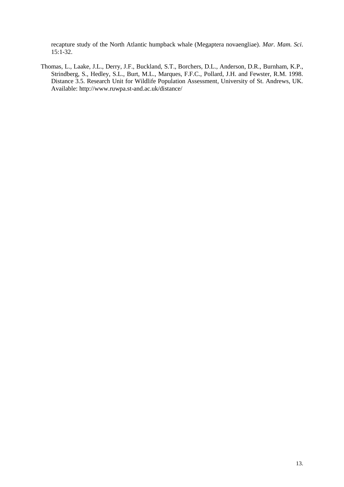recapture study of the North Atlantic humpback whale (Megaptera novaengliae). *Mar. Mam. Sci*. 15:1-32.

Thomas, L., Laake, J.L., Derry, J.F., Buckland, S.T., Borchers, D.L., Anderson, D.R., Burnham, K.P., Strindberg, S., Hedley, S.L., Burt, M.L., Marques, F.F.C., Pollard, J.H. and Fewster, R.M. 1998. Distance 3.5. Research Unit for Wildlife Population Assessment, University of St. Andrews, UK. Available: http://www.ruwpa.st-and.ac.uk/distance/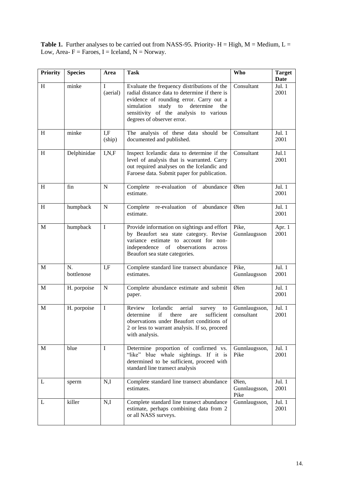**Table 1.** Further analyses to be carried out from NASS-95. Priority-  $H = High$ ,  $M = Medium$ ,  $L =$ Low, Area-  $F =$  Faroes, I = Iceland, N = Norway.

| <b>Priority</b> | <b>Species</b>   | Area          | <b>Task</b>                                                                                                                                                                                                                                                      | <b>Who</b>                     | <b>Target</b><br>Date |
|-----------------|------------------|---------------|------------------------------------------------------------------------------------------------------------------------------------------------------------------------------------------------------------------------------------------------------------------|--------------------------------|-----------------------|
| H               | minke            | I<br>(aerial) | Evaluate the frequency distributions of the<br>radial distance data to determine if there is<br>evidence of rounding error. Carry out a<br>to<br>determine<br>simulation<br>study<br>the<br>sensitivity of the analysis to various<br>degrees of observer error. | Consultant                     | Jul. $1$<br>2001      |
| H               | minke            | I.F<br>(ship) | The analysis of these data should be<br>documented and published.                                                                                                                                                                                                | Consultant                     | Jul. $1$<br>2001      |
| H               | Delphinidae      | I, N, F       | Inspect Icelandic data to determine if the<br>level of analysis that is warranted. Carry<br>out required analyses on the Icelandic and<br>Faroese data. Submit paper for publication.                                                                            | Consultant                     | Jul.1<br>2001         |
| H               | fin              | N             | re-evaluation of<br>Complete<br>abundance<br>estimate.                                                                                                                                                                                                           | Øien                           | Jul. $1$<br>2001      |
| H               | humpback         | $\mathbf N$   | re-evaluation of<br>abundance<br>Complete<br>estimate.                                                                                                                                                                                                           | Øien                           | Jul. 1<br>2001        |
| M               | humpback         | I             | Provide information on sightings and effort<br>by Beaufort sea state category. Revise<br>variance estimate to account for non-<br>independence of observations<br>across<br>Beaufort sea state categories.                                                       | Pike,<br>Gunnlaugsson          | Apr. 1<br>2001        |
| M               | N.<br>bottlenose | I.F           | Complete standard line transect abundance<br>estimates.                                                                                                                                                                                                          | Pike,<br>Gunnlaugsson          | Jul. $1$<br>2001      |
| $\mathbf M$     | H. porpoise      | $\mathbf N$   | Complete abundance estimate and submit<br>paper.                                                                                                                                                                                                                 | Øien                           | Jul. 1<br>2001        |
| M               | H. porpoise      | $\mathbf I$   | Icelandic<br>Review<br>aerial<br>survey<br>to<br>if<br>sufficient<br>there<br>determine<br>are<br>observations under Beaufort conditions of<br>2 or less to warrant analysis. If so, proceed<br>with analysis.                                                   | Gunnlaugsson,<br>consultant    | Jul. 1<br>2001        |
| M               | blue             | I             | Determine proportion of confirmed vs.<br>"like" blue whale sightings. If it is<br>determined to be sufficient, proceed with<br>standard line transect analysis                                                                                                   | Gunnlaugsson,<br>Pike          | Jul. 1<br>2001        |
| L               | sperm            | N,I           | Complete standard line transect abundance<br>estimates.                                                                                                                                                                                                          | Øien,<br>Gunnlaugsson,<br>Pike | Jul. 1<br>2001        |
| L               | killer           | N,I           | Complete standard line transect abundance<br>estimate, perhaps combining data from 2<br>or all NASS surveys.                                                                                                                                                     | Gunnlaugsson,                  | Jul. 1<br>2001        |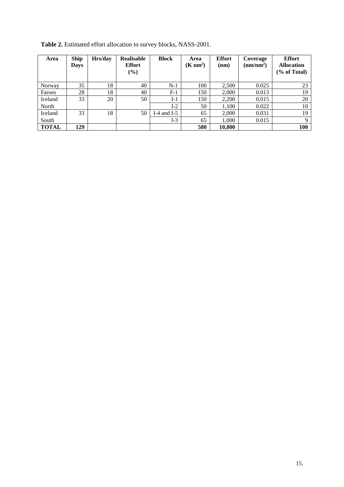| Area         | <b>Ship</b><br><b>Days</b> | Hrs/day | <b>Realisable</b><br><b>Effort</b><br>$(\%)$ | <b>Block</b> | Area<br>$(K \text{ nm}^2)$ | <b>Effort</b><br>(nm) | Coverage<br>(nm/nm <sup>2</sup> ) | <b>Effort</b><br><b>Allocation</b><br>(% of Total) |
|--------------|----------------------------|---------|----------------------------------------------|--------------|----------------------------|-----------------------|-----------------------------------|----------------------------------------------------|
| Norway       | 35                         | 18      | 40                                           | $N-1$        | 100                        | 2,500                 | 0.025                             | 23                                                 |
| Faroes       | 28                         | 18      | 40                                           | $F-1$        | 150                        | 2,000                 | 0.013                             | 19                                                 |
| Iceland      | 33                         | 20      | 50                                           | $I-1$        | 150                        | 2,200                 | 0.015                             | 20                                                 |
| North        |                            |         |                                              | $I-2$        | 50                         | 1,100                 | 0.022                             | 10                                                 |
| Iceland      | 33                         | 18      | 50                                           | I-4 and I-5  | 65                         | 2,000                 | 0.031                             | 19                                                 |
| South        |                            |         |                                              | $I-3$        | 65                         | 1,000                 | 0.015                             | 9                                                  |
| <b>TOTAL</b> | 129                        |         |                                              |              | 580                        | 10,800                |                                   | <b>100</b>                                         |

**Table 2.** Estimated effort allocation to survey blocks, NASS-2001.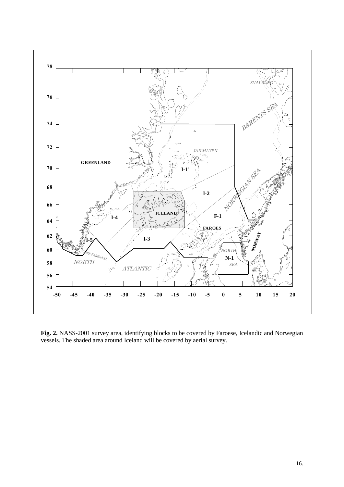

**Fig. 2.** NASS-2001 survey area, identifying blocks to be covered by Faroese, Icelandic and Norwegian vessels. The shaded area around Iceland will be covered by aerial survey.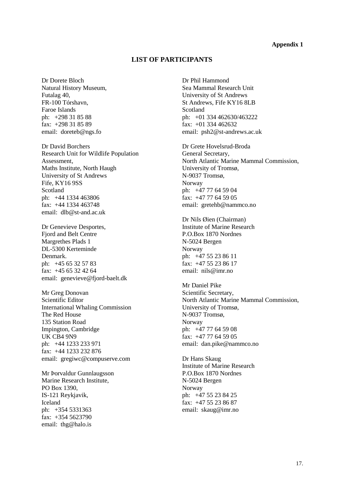#### **Appendix 1**

# **LIST OF PARTICIPANTS**

Dr Dorete Bloch Natural History Museum, Futalag 40, FR-100 Tórshavn, Faroe Islands ph: +298 31 85 88 fax: +298 31 85 89 email: doreteb@ngs.fo

Dr David Borchers Research Unit for Wildlife Population Assessment, Maths Institute, North Haugh University of St Andrews Fife, KY16 9SS Scotland ph: +44 1334 463806 fax: +44 1334 463748 email: dlb@st-and.ac.uk

Dr Genevieve Desportes, Fjord and Belt Centre Margrethes Plads 1 DL-5300 Kerteminde Denmark. ph: +45 65 32 57 83 fax: +45 65 32 42 64 email: genevieve@fjord-baelt.dk

Mr Greg Donovan Scientific Editor International Whaling Commission The Red House 135 Station Road Impington, Cambridge UK CB4 9N9 ph: +44 1233 233 971 fax: +44 1233 232 876 email: gregiwc@compuserve.com

Mr Þorvaldur Gunnlaugsson Marine Research Institute, PO Box 1390, IS-121 Reykjavik, Iceland ph: +354 5331363 fax:  $+354\,5623790$ email: thg@halo.is

Dr Phil Hammond Sea Mammal Research Unit University of St Andrews St Andrews, Fife KY16 8LB Scotland ph: +01 334 462630/463222 fax: +01 334 462632 email: psh2@st-andrews.ac.uk

Dr Grete Hovelsrud-Broda General Secretary, North Atlantic Marine Mammal Commission, University of Tromsø, N-9037 Tromsø, Norway ph: +47 77 64 59 04 fax: +47 77 64 59 05 email: gretehb@nammco.no

Dr Nils Øien (Chairman) Institute of Marine Research P.O.Box 1870 Nordnes N-5024 Bergen Norway ph: +47 55 23 86 11 fax: +47 55 23 86 17 email: nils@imr.no

Mr Daniel Pike Scientific Secretary, North Atlantic Marine Mammal Commission, University of Tromsø, N-9037 Tromsø, Norway ph: +47 77 64 59 08 fax: +47 77 64 59 05 email: dan.pike@nammco.no

Dr Hans Skaug Institute of Marine Research P.O.Box 1870 Nordnes N-5024 Bergen Norway ph: +47 55 23 84 25 fax: +47 55 23 86 87 email: skaug@imr.no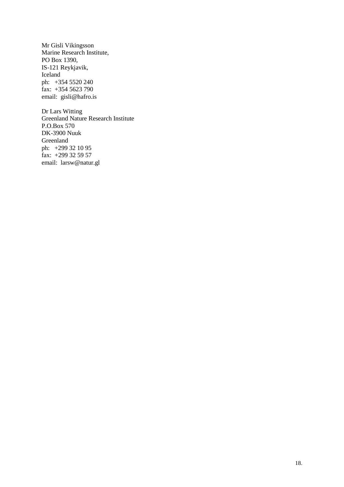Mr Gisli Vikingsson Marine Research Institute, PO Box 1390, IS-121 Reykjavik, Iceland ph: +354 5520 240 fax: +354 5623 790 email: gisli@hafro.is

Dr Lars Witting Greenland Nature Research Institute P.O.Box 570 DK-3900 Nuuk Greenland ph: +299 32 10 95 fax:  $+299$  32 59 57 email: larsw@natur.gl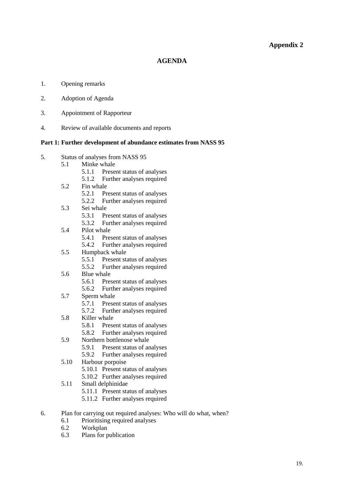# **Appendix 2**

#### **AGENDA**

- 1. Opening remarks
- 2. Adoption of Agenda
- 3. Appointment of Rapporteur
- 4. Review of available documents and reports

#### **Part 1: Further development of abundance estimates from NASS 95**

- 5. Status of analyses from NASS 95
	- 5.1 Minke whale
		- 5.1.1 Present status of analyses
		- 5.1.2 Further analyses required
	- 5.2 Fin whale
		- 5.2.1 Present status of analyses
		- 5.2.2 Further analyses required
	- 5.3 Sei whale
		- 5.3.1 Present status of analyses
		- 5.3.2 Further analyses required
	- 5.4 Pilot whale
		- 5.4.1 Present status of analyses
		- 5.4.2 Further analyses required
	- 5.5 Humpback whale
		- 5.5.1 Present status of analyses
		- 5.5.2 Further analyses required
	- 5.6 Blue whale
		- 5.6.1 Present status of analyses
		- 5.6.2 Further analyses required
	- 5.7 Sperm whale
		- 5.7.1 Present status of analyses
		- 5.7.2 Further analyses required
	- 5.8 Killer whale
		- 5.8.1 Present status of analyses
		- 5.8.2 Further analyses required
	- 5.9 Northern bottlenose whale
		- 5.9.1 Present status of analyses
		- 5.9.2 Further analyses required
	- 5.10 Harbour porpoise
		- 5.10.1 Present status of analyses
		- 5.10.2 Further analyses required
	- 5.11 Small delphinidae
		- 5.11.1 Present status of analyses
		- 5.11.2 Further analyses required
- 6. Plan for carrying out required analyses: Who will do what, when?
	- 6.1 Prioritising required analyses
	- 6.2 Workplan
	- 6.3 Plans for publication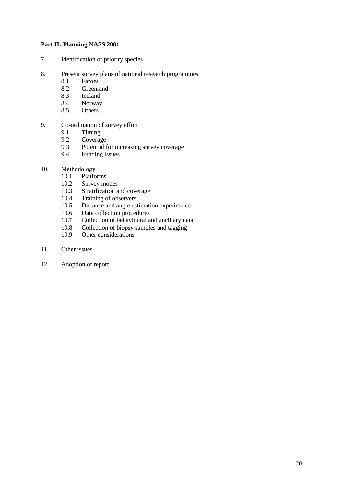### **Part II: Planning NASS 2001**

- 7. Identification of priority species
- 8. Present survey plans of national research programmes
	- 8.1 Faroes
	- **Greenland**
	- 8.3 Iceland
	- 8.4 Norway
	- 8.5 Others
- 9. Co-ordination of survey effort<br>9.1 Timing
	- 9.1 Timing<br>9.2 Coverag
	- Coverage
	- 9.3 Potential for increasing survey coverage
	- 9.4 Funding issues
- 10. Methodology<br>10.1 Platfo
	- 10.1 Platforms<br>10.2 Survey mo
	- 10.2 Survey modes<br>10.3 Stratification a
	- Stratification and coverage
	- 10.4 Training of observers
	- 10.5 Distance and angle estimation experiments
	- 10.6 Data collection procedures
	- 10.7 Collection of behavioural and ancillary data
	- 10.8 Collection of biopsy samples and tagging
	- 10.9 Other considerations
- 11. Other issues
- 12. Adoption of report